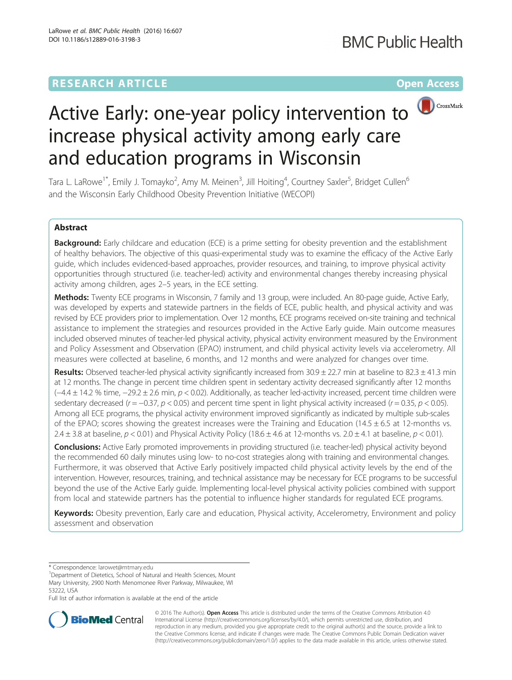# **RESEARCH ARTICLE Example 2014 12:30 The Community Community Community Community Community Community Community**



# Active Early: one-year policy intervention to increase physical activity among early care and education programs in Wisconsin

Tara L. LaRowe<sup>1\*</sup>, Emily J. Tomayko<sup>2</sup>, Amy M. Meinen<sup>3</sup>, Jill Hoiting<sup>4</sup>, Courtney Saxler<sup>5</sup>, Bridget Cullen<sup>6</sup> and the Wisconsin Early Childhood Obesity Prevention Initiative (WECOPI)

# Abstract

Background: Early childcare and education (ECE) is a prime setting for obesity prevention and the establishment of healthy behaviors. The objective of this quasi-experimental study was to examine the efficacy of the Active Early guide, which includes evidenced-based approaches, provider resources, and training, to improve physical activity opportunities through structured (i.e. teacher-led) activity and environmental changes thereby increasing physical activity among children, ages 2–5 years, in the ECE setting.

Methods: Twenty ECE programs in Wisconsin, 7 family and 13 group, were included. An 80-page guide, Active Early, was developed by experts and statewide partners in the fields of ECE, public health, and physical activity and was revised by ECE providers prior to implementation. Over 12 months, ECE programs received on-site training and technical assistance to implement the strategies and resources provided in the Active Early guide. Main outcome measures included observed minutes of teacher-led physical activity, physical activity environment measured by the Environment and Policy Assessment and Observation (EPAO) instrument, and child physical activity levels via accelerometry. All measures were collected at baseline, 6 months, and 12 months and were analyzed for changes over time.

Results: Observed teacher-led physical activity significantly increased from  $30.9 \pm 22.7$  min at baseline to  $82.3 \pm 41.3$  min at 12 months. The change in percent time children spent in sedentary activity decreased significantly after 12 months (−4.4 ± 14.2 % time, −29.2 ± 2.6 min, p < 0.02). Additionally, as teacher led-activity increased, percent time children were sedentary decreased ( $r = -0.37$ ,  $p < 0.05$ ) and percent time spent in light physical activity increased ( $r = 0.35$ ,  $p < 0.05$ ). Among all ECE programs, the physical activity environment improved significantly as indicated by multiple sub-scales of the EPAO; scores showing the greatest increases were the Training and Education (14.5  $\pm$  6.5 at 12-months vs. 2.4  $\pm$  3.8 at baseline,  $p < 0.01$ ) and Physical Activity Policy (18.6  $\pm$  4.6 at 12-months vs. 2.0  $\pm$  4.1 at baseline,  $p < 0.01$ ).

**Conclusions:** Active Early promoted improvements in providing structured (i.e. teacher-led) physical activity beyond the recommended 60 daily minutes using low- to no-cost strategies along with training and environmental changes. Furthermore, it was observed that Active Early positively impacted child physical activity levels by the end of the intervention. However, resources, training, and technical assistance may be necessary for ECE programs to be successful beyond the use of the Active Early guide. Implementing local-level physical activity policies combined with support from local and statewide partners has the potential to influence higher standards for regulated ECE programs.

Keywords: Obesity prevention, Early care and education, Physical activity, Accelerometry, Environment and policy assessment and observation

\* Correspondence: [larowet@mtmary.edu](mailto:larowet@mtmary.edu) <sup>1</sup>

<sup>1</sup>Department of Dietetics, School of Natural and Health Sciences, Mount Mary University, 2900 North Menomonee River Parkway, Milwaukee, WI 53222, USA

Full list of author information is available at the end of the article



© 2016 The Author(s). Open Access This article is distributed under the terms of the Creative Commons Attribution 4.0 International License [\(http://creativecommons.org/licenses/by/4.0/](http://creativecommons.org/licenses/by/4.0/)), which permits unrestricted use, distribution, and reproduction in any medium, provided you give appropriate credit to the original author(s) and the source, provide a link to the Creative Commons license, and indicate if changes were made. The Creative Commons Public Domain Dedication waiver [\(http://creativecommons.org/publicdomain/zero/1.0/](http://creativecommons.org/publicdomain/zero/1.0/)) applies to the data made available in this article, unless otherwise stated.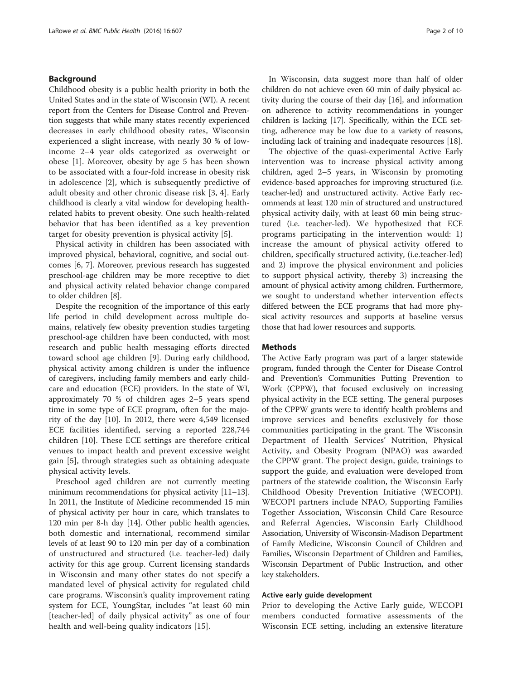# Background

Childhood obesity is a public health priority in both the United States and in the state of Wisconsin (WI). A recent report from the Centers for Disease Control and Prevention suggests that while many states recently experienced decreases in early childhood obesity rates, Wisconsin experienced a slight increase, with nearly 30 % of lowincome 2–4 year olds categorized as overweight or obese [\[1](#page-8-0)]. Moreover, obesity by age 5 has been shown to be associated with a four-fold increase in obesity risk in adolescence [[2\]](#page-8-0), which is subsequently predictive of adult obesity and other chronic disease risk [[3,](#page-8-0) [4\]](#page-9-0). Early childhood is clearly a vital window for developing healthrelated habits to prevent obesity. One such health-related behavior that has been identified as a key prevention target for obesity prevention is physical activity [\[5](#page-9-0)].

Physical activity in children has been associated with improved physical, behavioral, cognitive, and social outcomes [\[6](#page-9-0), [7\]](#page-9-0). Moreover, previous research has suggested preschool-age children may be more receptive to diet and physical activity related behavior change compared to older children [\[8](#page-9-0)].

Despite the recognition of the importance of this early life period in child development across multiple domains, relatively few obesity prevention studies targeting preschool-age children have been conducted, with most research and public health messaging efforts directed toward school age children [\[9](#page-9-0)]. During early childhood, physical activity among children is under the influence of caregivers, including family members and early childcare and education (ECE) providers. In the state of WI, approximately 70 % of children ages 2–5 years spend time in some type of ECE program, often for the majority of the day [\[10\]](#page-9-0). In 2012, there were 4,549 licensed ECE facilities identified, serving a reported 228,744 children [\[10](#page-9-0)]. These ECE settings are therefore critical venues to impact health and prevent excessive weight gain [[5](#page-9-0)], through strategies such as obtaining adequate physical activity levels.

Preschool aged children are not currently meeting minimum recommendations for physical activity [\[11](#page-9-0)–[13](#page-9-0)]. In 2011, the Institute of Medicine recommended 15 min of physical activity per hour in care, which translates to 120 min per 8-h day [[14](#page-9-0)]. Other public health agencies, both domestic and international, recommend similar levels of at least 90 to 120 min per day of a combination of unstructured and structured (i.e. teacher-led) daily activity for this age group. Current licensing standards in Wisconsin and many other states do not specify a mandated level of physical activity for regulated child care programs. Wisconsin's quality improvement rating system for ECE, YoungStar, includes "at least 60 min [teacher-led] of daily physical activity" as one of four health and well-being quality indicators [\[15](#page-9-0)].

In Wisconsin, data suggest more than half of older children do not achieve even 60 min of daily physical activity during the course of their day [\[16\]](#page-9-0), and information on adherence to activity recommendations in younger children is lacking [\[17\]](#page-9-0). Specifically, within the ECE setting, adherence may be low due to a variety of reasons, including lack of training and inadequate resources [\[18\]](#page-9-0).

The objective of the quasi-experimental Active Early intervention was to increase physical activity among children, aged 2–5 years, in Wisconsin by promoting evidence-based approaches for improving structured (i.e. teacher-led) and unstructured activity. Active Early recommends at least 120 min of structured and unstructured physical activity daily, with at least 60 min being structured (i.e. teacher-led). We hypothesized that ECE programs participating in the intervention would: 1) increase the amount of physical activity offered to children, specifically structured activity, (i.e.teacher-led) and 2) improve the physical environment and policies to support physical activity, thereby 3) increasing the amount of physical activity among children. Furthermore, we sought to understand whether intervention effects differed between the ECE programs that had more physical activity resources and supports at baseline versus those that had lower resources and supports.

# **Methods**

The Active Early program was part of a larger statewide program, funded through the Center for Disease Control and Prevention's Communities Putting Prevention to Work (CPPW), that focused exclusively on increasing physical activity in the ECE setting. The general purposes of the CPPW grants were to identify health problems and improve services and benefits exclusively for those communities participating in the grant. The Wisconsin Department of Health Services' Nutrition, Physical Activity, and Obesity Program (NPAO) was awarded the CPPW grant. The project design, guide, trainings to support the guide, and evaluation were developed from partners of the statewide coalition, the Wisconsin Early Childhood Obesity Prevention Initiative (WECOPI). WECOPI partners include NPAO, Supporting Families Together Association, Wisconsin Child Care Resource and Referral Agencies, Wisconsin Early Childhood Association, University of Wisconsin-Madison Department of Family Medicine, Wisconsin Council of Children and Families, Wisconsin Department of Children and Families, Wisconsin Department of Public Instruction, and other key stakeholders.

# Active early guide development

Prior to developing the Active Early guide, WECOPI members conducted formative assessments of the Wisconsin ECE setting, including an extensive literature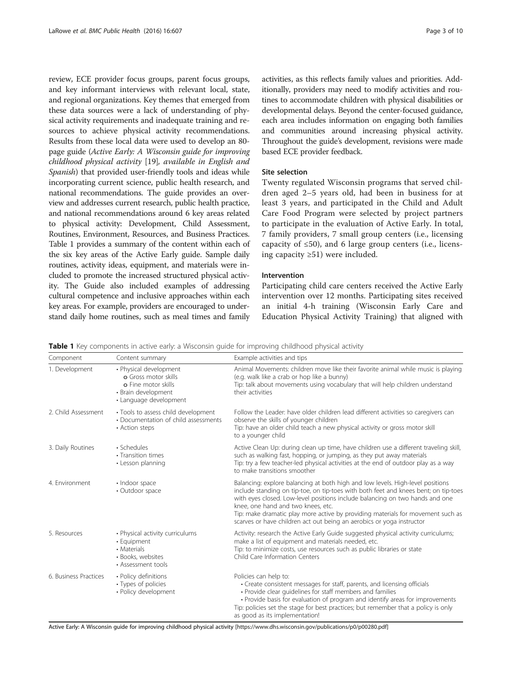review, ECE provider focus groups, parent focus groups, and key informant interviews with relevant local, state, and regional organizations. Key themes that emerged from these data sources were a lack of understanding of physical activity requirements and inadequate training and resources to achieve physical activity recommendations. Results from these local data were used to develop an 80 page guide (Active Early: A Wisconsin guide for improving childhood physical activity [[19](#page-9-0)], available in English and Spanish) that provided user-friendly tools and ideas while incorporating current science, public health research, and national recommendations. The guide provides an overview and addresses current research, public health practice, and national recommendations around 6 key areas related to physical activity: Development, Child Assessment, Routines, Environment, Resources, and Business Practices. Table 1 provides a summary of the content within each of the six key areas of the Active Early guide. Sample daily routines, activity ideas, equipment, and materials were included to promote the increased structured physical activity. The Guide also included examples of addressing cultural competence and inclusive approaches within each key areas. For example, providers are encouraged to understand daily home routines, such as meal times and family activities, as this reflects family values and priorities. Additionally, providers may need to modify activities and routines to accommodate children with physical disabilities or developmental delays. Beyond the center-focused guidance, each area includes information on engaging both families and communities around increasing physical activity. Throughout the guide's development, revisions were made based ECE provider feedback.

# Site selection

Twenty regulated Wisconsin programs that served children aged 2–5 years old, had been in business for at least 3 years, and participated in the Child and Adult Care Food Program were selected by project partners to participate in the evaluation of Active Early. In total, 7 family providers, 7 small group centers (i.e., licensing capacity of  $\leq 50$ ), and 6 large group centers (i.e., licensing capacity ≥51) were included.

#### Intervention

Participating child care centers received the Active Early intervention over 12 months. Participating sites received an initial 4-h training (Wisconsin Early Care and Education Physical Activity Training) that aligned with

|  |  | <b>Table 1</b> Key components in active early: a Wisconsin quide for improving childhood physical activity |  |  |  |  |  |  |  |
|--|--|------------------------------------------------------------------------------------------------------------|--|--|--|--|--|--|--|
|--|--|------------------------------------------------------------------------------------------------------------|--|--|--|--|--|--|--|

| Component             | Content summary                                                                                                        | Example activities and tips                                                                                                                                                                                                                                                                                                                                                                                                                             |
|-----------------------|------------------------------------------------------------------------------------------------------------------------|---------------------------------------------------------------------------------------------------------------------------------------------------------------------------------------------------------------------------------------------------------------------------------------------------------------------------------------------------------------------------------------------------------------------------------------------------------|
| 1. Development        | • Physical development<br>o Gross motor skills<br>o Fine motor skills<br>• Brain development<br>• Language development | Animal Movements: children move like their favorite animal while music is playing<br>(e.g. walk like a crab or hop like a bunny)<br>Tip: talk about movements using vocabulary that will help children understand<br>their activities                                                                                                                                                                                                                   |
| 2. Child Assessment   | • Tools to assess child development<br>• Documentation of child assessments<br>• Action steps                          | Follow the Leader: have older children lead different activities so caregivers can<br>observe the skills of younger children<br>Tip: have an older child teach a new physical activity or gross motor skill<br>to a younger child                                                                                                                                                                                                                       |
| 3. Daily Routines     | · Schedules<br>• Transition times<br>• Lesson planning                                                                 | Active Clean Up: during clean up time, have children use a different traveling skill,<br>such as walking fast, hopping, or jumping, as they put away materials<br>Tip: try a few teacher-led physical activities at the end of outdoor play as a way<br>to make transitions smoother                                                                                                                                                                    |
| 4. Environment        | • Indoor space<br>• Outdoor space                                                                                      | Balancing: explore balancing at both high and low levels. High-level positions<br>include standing on tip-toe, on tip-toes with both feet and knees bent; on tip-toes<br>with eyes closed. Low-level positions include balancing on two hands and one<br>knee, one hand and two knees, etc.<br>Tip: make dramatic play more active by providing materials for movement such as<br>scarves or have children act out being an aerobics or yoga instructor |
| 5. Resources          | • Physical activity curriculums<br>• Equipment<br>• Materials<br>· Books, websites<br>• Assessment tools               | Activity: research the Active Early Guide suggested physical activity curriculums;<br>make a list of equipment and materials needed, etc.<br>Tip: to minimize costs, use resources such as public libraries or state<br>Child Care Information Centers                                                                                                                                                                                                  |
| 6. Business Practices | • Policy definitions<br>• Types of policies<br>• Policy development                                                    | Policies can help to:<br>• Create consistent messages for staff, parents, and licensing officials<br>• Provide clear quidelines for staff members and families<br>• Provide basis for evaluation of program and identify areas for improvements<br>Tip: policies set the stage for best practices; but remember that a policy is only<br>as good as its implementation!                                                                                 |

Active Early: A Wisconsin guide for improving childhood physical activity [<https://www.dhs.wisconsin.gov/publications/p0/p00280.pdf>]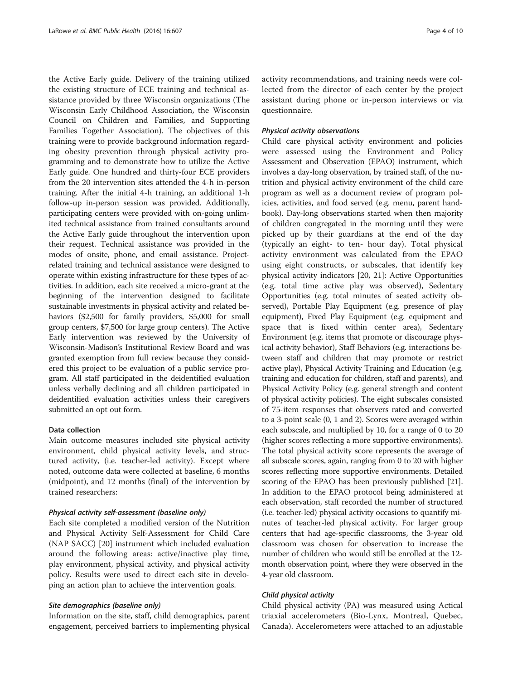the Active Early guide. Delivery of the training utilized the existing structure of ECE training and technical assistance provided by three Wisconsin organizations (The Wisconsin Early Childhood Association, the Wisconsin Council on Children and Families, and Supporting Families Together Association). The objectives of this training were to provide background information regarding obesity prevention through physical activity programming and to demonstrate how to utilize the Active Early guide. One hundred and thirty-four ECE providers from the 20 intervention sites attended the 4-h in-person training. After the initial 4-h training, an additional 1-h follow-up in-person session was provided. Additionally, participating centers were provided with on-going unlimited technical assistance from trained consultants around the Active Early guide throughout the intervention upon their request. Technical assistance was provided in the modes of onsite, phone, and email assistance. Projectrelated training and technical assistance were designed to operate within existing infrastructure for these types of activities. In addition, each site received a micro-grant at the beginning of the intervention designed to facilitate sustainable investments in physical activity and related behaviors (\$2,500 for family providers, \$5,000 for small group centers, \$7,500 for large group centers). The Active Early intervention was reviewed by the University of Wisconsin-Madison's Institutional Review Board and was granted exemption from full review because they considered this project to be evaluation of a public service program. All staff participated in the deidentified evaluation unless verbally declining and all children participated in deidentified evaluation activities unless their caregivers submitted an opt out form.

#### Data collection

Main outcome measures included site physical activity environment, child physical activity levels, and structured activity, (i.e. teacher-led activity). Except where noted, outcome data were collected at baseline, 6 months (midpoint), and 12 months (final) of the intervention by trained researchers:

# Physical activity self-assessment (baseline only)

Each site completed a modified version of the Nutrition and Physical Activity Self-Assessment for Child Care (NAP SACC) [[20\]](#page-9-0) instrument which included evaluation around the following areas: active/inactive play time, play environment, physical activity, and physical activity policy. Results were used to direct each site in developing an action plan to achieve the intervention goals.

#### Site demographics (baseline only)

Information on the site, staff, child demographics, parent engagement, perceived barriers to implementing physical activity recommendations, and training needs were collected from the director of each center by the project assistant during phone or in-person interviews or via questionnaire.

# Physical activity observations

Child care physical activity environment and policies were assessed using the Environment and Policy Assessment and Observation (EPAO) instrument, which involves a day-long observation, by trained staff, of the nutrition and physical activity environment of the child care program as well as a document review of program policies, activities, and food served (e.g. menu, parent handbook). Day-long observations started when then majority of children congregated in the morning until they were picked up by their guardians at the end of the day (typically an eight- to ten- hour day). Total physical activity environment was calculated from the EPAO using eight constructs, or subscales, that identify key physical activity indicators [\[20, 21](#page-9-0)]: Active Opportunities (e.g. total time active play was observed), Sedentary Opportunities (e.g. total minutes of seated activity observed), Portable Play Equipment (e.g. presence of play equipment), Fixed Play Equipment (e.g. equipment and space that is fixed within center area), Sedentary Environment (e.g. items that promote or discourage physical activity behavior), Staff Behaviors (e.g. interactions between staff and children that may promote or restrict active play), Physical Activity Training and Education (e.g. training and education for children, staff and parents), and Physical Activity Policy (e.g. general strength and content of physical activity policies). The eight subscales consisted of 75-item responses that observers rated and converted to a 3-point scale (0, 1 and 2). Scores were averaged within each subscale, and multiplied by 10, for a range of 0 to 20 (higher scores reflecting a more supportive environments). The total physical activity score represents the average of all subscale scores, again, ranging from 0 to 20 with higher scores reflecting more supportive environments. Detailed scoring of the EPAO has been previously published [[21](#page-9-0)]. In addition to the EPAO protocol being administered at each observation, staff recorded the number of structured (i.e. teacher-led) physical activity occasions to quantify minutes of teacher-led physical activity. For larger group centers that had age-specific classrooms, the 3-year old classroom was chosen for observation to increase the number of children who would still be enrolled at the 12 month observation point, where they were observed in the 4-year old classroom.

# Child physical activity

Child physical activity (PA) was measured using Actical triaxial accelerometers (Bio-Lynx, Montreal, Quebec, Canada). Accelerometers were attached to an adjustable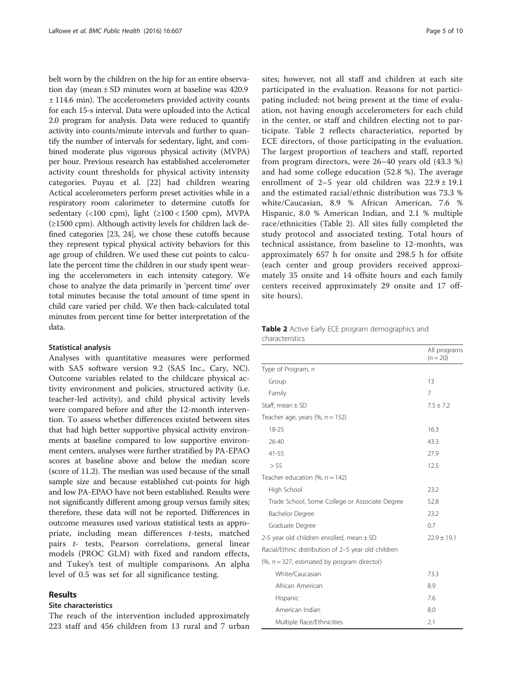belt worn by the children on the hip for an entire observation day (mean ± SD minutes worn at baseline was 420.9 ± 114.6 min). The accelerometers provided activity counts for each 15-s interval. Data were uploaded into the Actical 2.0 program for analysis. Data were reduced to quantify activity into counts/minute intervals and further to quantify the number of intervals for sedentary, light, and combined moderate plus vigorous physical activity (MVPA) per hour. Previous research has established accelerometer activity count thresholds for physical activity intensity categories. Puyau et al. [\[22](#page-9-0)] had children wearing Actical accelerometers perform preset activities while in a respiratory room calorimeter to determine cutoffs for sedentary (<100 cpm), light  $(\geq 100 < 1500$  cpm), MVPA (≥1500 cpm). Although activity levels for children lack defined categories [\[23](#page-9-0), [24\]](#page-9-0), we chose these cutoffs because they represent typical physical activity behaviors for this age group of children. We used these cut points to calculate the percent time the children in our study spent wearing the accelerometers in each intensity category. We chose to analyze the data primarily in 'percent time' over total minutes because the total amount of time spent in child care varied per child. We then back-calculated total minutes from percent time for better interpretation of the data.

#### Statistical analysis

Analyses with quantitative measures were performed with SAS software version 9.2 (SAS Inc., Cary, NC). Outcome variables related to the childcare physical activity environment and policies, structured activity (i.e. teacher-led activity), and child physical activity levels were compared before and after the 12-month intervention. To assess whether differences existed between sites that had high better supportive physical activity environments at baseline compared to low supportive environment centers, analyses were further stratified by PA-EPAO scores at baseline above and below the median score (score of 11.2). The median was used because of the small sample size and because established cut-points for high and low PA-EPAO have not been established. Results were not significantly different among group versus family sites; therefore, these data will not be reported. Differences in outcome measures used various statistical tests as appropriate, including mean differences t-tests, matched pairs t- tests, Pearson correlations, general linear models (PROC GLM) with fixed and random effects, and Tukey's test of multiple comparisons. An alpha level of 0.5 was set for all significance testing.

# Results

# Site characteristics

The reach of the intervention included approximately 223 staff and 456 children from 13 rural and 7 urban

sites; however, not all staff and children at each site participated in the evaluation. Reasons for not participating included: not being present at the time of evaluation, not having enough accelerometers for each child in the center, or staff and children electing not to participate. Table 2 reflects characteristics, reported by ECE directors, of those participating in the evaluation. The largest proportion of teachers and staff, reported from program directors, were 26–40 years old (43.3 %) and had some college education (52.8 %). The average enrollment of 2–5 year old children was 22.9 ± 19.1 and the estimated racial/ethnic distribution was 73.3 % white/Caucasian, 8.9 % African American, 7.6 % Hispanic, 8.0 % American Indian, and 2.1 % multiple race/ethnicities (Table 2). All sites fully completed the study protocol and associated testing. Total hours of technical assistance, from baseline to 12-monhts, was approximately 657 h for onsite and 298.5 h for offsite (each center and group providers received approximately 35 onsite and 14 offsite hours and each family centers received approximately 29 onsite and 17 offsite hours).

|                 |  |  | Table 2 Active Early ECE program demographics and |  |
|-----------------|--|--|---------------------------------------------------|--|
| characteristics |  |  |                                                   |  |

|                                                     | All programs<br>$(n = 20)$ |
|-----------------------------------------------------|----------------------------|
| Type of Program, n                                  |                            |
| Group                                               | 13                         |
| Family                                              | 7                          |
| Staff, mean $\pm$ SD                                | $7.5 \pm 7.2$              |
| Teacher age, years (%, $n = 152$ )                  |                            |
| 18-25                                               | 16.3                       |
| 26-40                                               | 43.3                       |
| $41 - 55$                                           | 27.9                       |
| > 55                                                | 12.5                       |
| Teacher education (%, $n = 142$ )                   |                            |
| High School                                         | 23.2                       |
| Trade School, Some College or Associate Degree      | 52.8                       |
| <b>Bachelor Degree</b>                              | 23.2                       |
| Graduate Degree                                     | 0.7                        |
| 2-5 year old children enrolled, mean ± SD           | $22.9 \pm 19.1$            |
| Racial/Ethnic distribution of 2-5 year old children |                            |
| $%$ , $n = 327$ , estimated by program director)    |                            |
| White/Caucasian                                     | 73.3                       |
| African American                                    | 8.9                        |
| Hispanic                                            | 7.6                        |
| American Indian                                     | 8.0                        |
| Multiple Race/Ethnicities                           | 2.1                        |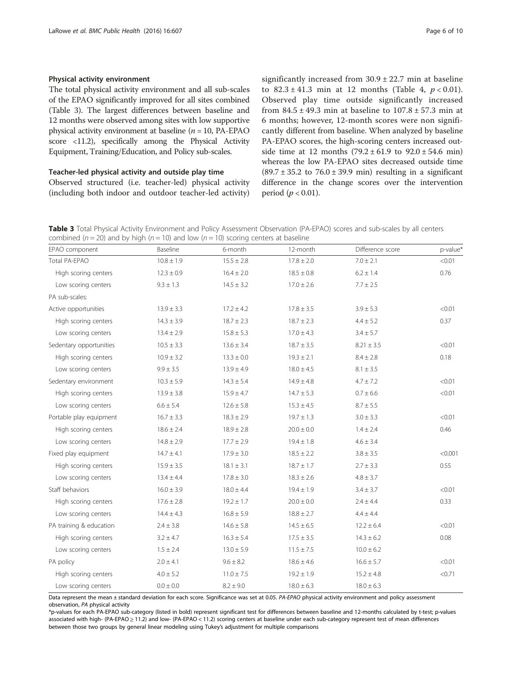# <span id="page-5-0"></span>Physical activity environment

The total physical activity environment and all sub-scales of the EPAO significantly improved for all sites combined (Table 3). The largest differences between baseline and 12 months were observed among sites with low supportive physical activity environment at baseline ( $n = 10$ , PA-EPAO score <11.2), specifically among the Physical Activity Equipment, Training/Education, and Policy sub-scales.

# Teacher-led physical activity and outside play time

Observed structured (i.e. teacher-led) physical activity (including both indoor and outdoor teacher-led activity)

significantly increased from  $30.9 \pm 22.7$  min at baseline to  $82.3 \pm 41.3$  $82.3 \pm 41.3$  $82.3 \pm 41.3$  min at 12 months (Table 4,  $p < 0.01$ ). Observed play time outside significantly increased from  $84.5 \pm 49.3$  min at baseline to  $107.8 \pm 57.3$  min at 6 months; however, 12-month scores were non significantly different from baseline. When analyzed by baseline PA-EPAO scores, the high-scoring centers increased outside time at 12 months  $(79.2 \pm 61.9 \text{ to } 92.0 \pm 54.6 \text{ min})$ whereas the low PA-EPAO sites decreased outside time  $(89.7 \pm 35.2 \text{ to } 76.0 \pm 39.9 \text{ min})$  resulting in a significant difference in the change scores over the intervention period ( $p < 0.01$ ).

Table 3 Total Physical Activity Environment and Policy Assessment Observation (PA-EPAO) scores and sub-scales by all centers combined  $(n - 20)$  and by high  $(n - 10)$  and low  $(n - 10)$  scoring centers at baseline

| EPAO component          | Baseline       | 6-month        | 12-month       | Difference score | p-value* |
|-------------------------|----------------|----------------|----------------|------------------|----------|
| Total PA-EPAO           | $10.8 \pm 1.9$ | $15.5 \pm 2.8$ | $17.8 \pm 2.0$ | $7.0 \pm 2.1$    | < 0.01   |
| High scoring centers    | $12.3 \pm 0.9$ | $16.4 \pm 2.0$ | $18.5 \pm 0.8$ | $6.2 \pm 1.4$    | 0.76     |
| Low scoring centers     | $9.3 \pm 1.3$  | $14.5 \pm 3.2$ | $17.0 \pm 2.6$ | $7.7 \pm 2.5$    |          |
| PA sub-scales:          |                |                |                |                  |          |
| Active opportunities    | $13.9 \pm 3.3$ | $17.2 \pm 4.2$ | $17.8 \pm 3.5$ | $3.9 \pm 5.3$    | < 0.01   |
| High scoring centers    | $14.3 \pm 3.9$ | $18.7 \pm 2.3$ | $18.7 \pm 2.3$ | $4.4 \pm 5.2$    | 0.37     |
| Low scoring centers     | $13.4 \pm 2.9$ | $15.8 \pm 5.3$ | $17.0 \pm 4.3$ | $3.4 \pm 5.7$    |          |
| Sedentary opportunities | $10.5 \pm 3.3$ | $13.6 \pm 3.4$ | $18.7 \pm 3.5$ | $8.21 \pm 3.5$   | < 0.01   |
| High scoring centers    | $10.9 \pm 3.2$ | $13.3 \pm 0.0$ | $19.3 \pm 2.1$ | $8.4 \pm 2.8$    | 0.18     |
| Low scoring centers     | $9.9 \pm 3.5$  | $13.9 \pm 4.9$ | $18.0 \pm 4.5$ | $8.1 \pm 3.5$    |          |
| Sedentary environment   | $10.3 \pm 5.9$ | $14.3 \pm 5.4$ | $14.9 \pm 4.8$ | $4.7 \pm 7.2$    | < 0.01   |
| High scoring centers    | $13.9 \pm 3.8$ | $15.9 \pm 4.7$ | $14.7 \pm 5.3$ | $0.7 \pm 6.6$    | < 0.01   |
| Low scoring centers     | $6.6 \pm 5.4$  | $12.6 \pm 5.8$ | $15.3 \pm 4.5$ | $8.7 \pm 5.5$    |          |
| Portable play equipment | $16.7 \pm 3.3$ | $18.3 \pm 2.9$ | $19.7 \pm 1.3$ | $3.0 \pm 3.3$    | < 0.01   |
| High scoring centers    | $18.6 \pm 2.4$ | $18.9 \pm 2.8$ | $20.0 \pm 0.0$ | $1.4 \pm 2.4$    | 0.46     |
| Low scoring centers     | $14.8 \pm 2.9$ | $17.7 \pm 2.9$ | $19.4 \pm 1.8$ | $4.6 \pm 3.4$    |          |
| Fixed play equipment    | $14.7 \pm 4.1$ | $17.9 \pm 3.0$ | $18.5 \pm 2.2$ | $3.8 \pm 3.5$    | < 0.001  |
| High scoring centers    | $15.9 \pm 3.5$ | $18.1 \pm 3.1$ | $18.7 \pm 1.7$ | $2.7 \pm 3.3$    | 0.55     |
| Low scoring centers     | $13.4 \pm 4.4$ | $17.8 \pm 3.0$ | $18.3 \pm 2.6$ | $4.8 \pm 3.7$    |          |
| Staff behaviors         | $16.0 \pm 3.9$ | $18.0 \pm 4.4$ | $19.4 \pm 1.9$ | $3.4 \pm 3.7$    | < 0.01   |
| High scoring centers    | $17.6 \pm 2.8$ | $19.2 \pm 1.7$ | $20.0 \pm 0.0$ | $2.4 \pm 4.4$    | 0.33     |
| Low scoring centers     | $14.4 \pm 4.3$ | $16.8 \pm 5.9$ | $18.8 \pm 2.7$ | $4.4 \pm 4.4$    |          |
| PA training & education | $2.4 \pm 3.8$  | $14.6 \pm 5.8$ | $14.5 \pm 6.5$ | $12.2 \pm 6.4$   | < 0.01   |
| High scoring centers    | $3.2 \pm 4.7$  | $16.3 \pm 5.4$ | $17.5 \pm 3.5$ | $14.3 \pm 6.2$   | 0.08     |
| Low scoring centers     | $1.5 \pm 2.4$  | $13.0 \pm 5.9$ | $11.5 \pm 7.5$ | $10.0 \pm 6.2$   |          |
| PA policy               | $2.0 \pm 4.1$  | $9.6 \pm 8.2$  | $18.6 \pm 4.6$ | $16.6 \pm 5.7$   | < 0.01   |
| High scoring centers    | $4.0 \pm 5.2$  | $11.0 \pm 7.5$ | $19.2 \pm 1.9$ | $15.2 \pm 4.8$   | < 0.71   |
| Low scoring centers     | $0.0 \pm 0.0$  | $8.2 \pm 9.0$  | $18.0 \pm 6.3$ | $18.0 \pm 6.3$   |          |

Data represent the mean ± standard deviation for each score. Significance was set at 0.05. PA-EPAO physical activity environment and policy assessment observation, PA physical activity

\*p-values for each PA-EPAO sub-category (listed in bold) represent significant test for differences between baseline and 12-months calculated by t-test; p-values associated with high- (PA-EPAO ≥ 11.2) and low- (PA-EPAO < 11.2) scoring centers at baseline under each sub-category represent test of mean differences between those two groups by general linear modeling using Tukey's adjustment for multiple comparisons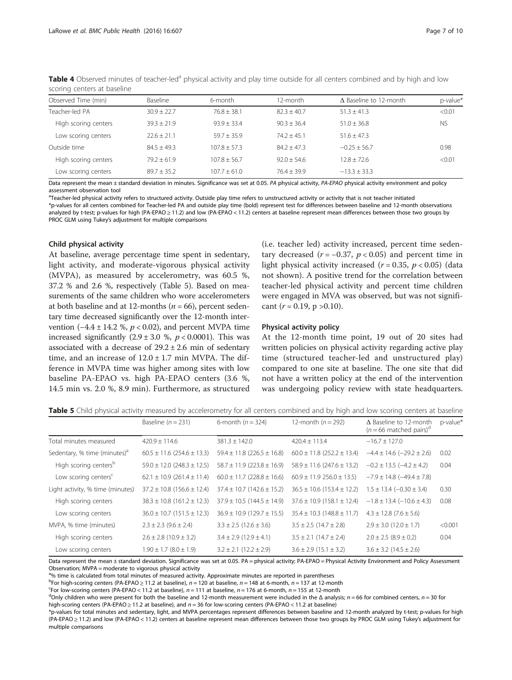| Observed Time (min)  | Baseline        | 6-month          | 12-month      | $\Delta$ Baseline to 12-month | p-value*  |
|----------------------|-----------------|------------------|---------------|-------------------------------|-----------|
| Teacher-led PA       | $30.9 + 22.7$   | $76.8 + 38.1$    | $82.3 + 40.7$ | $51.3 + 41.3$                 | < 0.01    |
| High scoring centers | $39.3 + 21.9$   | $93.9 + 33.4$    | $90.3 + 36.4$ | $51.0 + 36.8$                 | <b>NS</b> |
| Low scoring centers  | $22.6 + 21.1$   | $59.7 + 35.9$    | $74.2 + 45.1$ | $51.6 + 47.3$                 |           |
| Outside time         | $84.5 + 49.3$   | $107.8 + 57.3$   | $84.2 + 47.3$ | $-0.25 + 56.7$                | 0.98      |
| High scoring centers | $79.2 + 61.9$   | $107.8 + 56.7$   | $92.0 + 54.6$ | $12.8 + 72.6$                 | < 0.01    |
| Low scoring centers  | $89.7 \pm 35.2$ | $107.7 \pm 61.0$ | $76.4 + 39.9$ | $-13.3 \pm 33.3$              |           |

<span id="page-6-0"></span>Table 4 Observed minutes of teacher-led<sup>a</sup> physical activity and play time outside for all centers combined and by high and low scoring centers at baseline

Data represent the mean ± standard deviation in minutes. Significance was set at 0.05. PA physical activity, PA-EPAO physical activity environment and policy assessment observation tool

<sup>a</sup>Teacher-led physical activity refers to structured activity. Outside play time refers to unstructured activity or activity that is not teacher initiated \*p-values for all centers combined for Teacher-led PA and outside play time (bold) represent test for differences between baseline and 12-month observations analyzed by t-test; p-values for high (PA-EPAO ≥ 11.2) and low (PA-EPAO < 11.2) centers at baseline represent mean differences between those two groups by PROC GLM using Tukey's adjustment for multiple comparisons

#### Child physical activity

At baseline, average percentage time spent in sedentary, light activity, and moderate-vigorous physical activity (MVPA), as measured by accelerometry, was 60.5 %, 37.2 % and 2.6 %, respectively (Table 5). Based on measurements of the same children who wore accelerometers at both baseline and at 12-months ( $n = 66$ ), percent sedentary time decreased significantly over the 12-month intervention ( $-4.4 \pm 14.2$  %,  $p < 0.02$ ), and percent MVPA time increased significantly  $(2.9 \pm 3.0 \% , p < 0.0001)$ . This was associated with a decrease of  $29.2 \pm 2.6$  min of sedentary time, and an increase of  $12.0 \pm 1.7$  min MVPA. The difference in MVPA time was higher among sites with low baseline PA-EPAO vs. high PA-EPAO centers (3.6 %, 14.5 min vs. 2.0 %, 8.9 min). Furthermore, as structured

(i.e. teacher led) activity increased, percent time sedentary decreased ( $r = -0.37$ ,  $p < 0.05$ ) and percent time in light physical activity increased ( $r = 0.35$ ,  $p < 0.05$ ) (data not shown). A positive trend for the correlation between teacher-led physical activity and percent time children were engaged in MVA was observed, but was not significant  $(r = 0.19, p > 0.10)$ .

#### Physical activity policy

At the 12-month time point, 19 out of 20 sites had written policies on physical activity regarding active play time (structured teacher-led and unstructured play) compared to one site at baseline. The one site that did not have a written policy at the end of the intervention was undergoing policy review with state headquarters.

Table 5 Child physical activity measured by accelerometry for all centers combined and by high and low scoring centers at baseline

| 0.02    |
|---------|
| 0.04    |
|         |
| 0.30    |
| 0.08    |
|         |
| < 0.001 |
| 0.04    |
|         |
|         |

Data represent the mean ± standard deviation. Significance was set at 0.05. PA = physical activity; PA-EPAO = Physical Activity Environment and Policy Assessment Observation; MVPA = moderate to vigorous physical activity

<sup>a</sup>% time is calculated from total minutes of measured activity. Approximate minutes are reported in parentheses

<sup>b</sup> For high-scoring centers (PA-EPAO ≥ 11.2 at baseline), n = 120 at baseline, n = 148 at 6-month, n = 137 at 12-month<br><sup>C</sup>EOS low scoring centers (PA-EPAO < 11.2 at baseline), n = 111 at baseline, n = 176 at 6 month, n

For low-scoring centers (PA-EPAO < 11.2 at baseline),  $n = 111$  at baseline,  $n = 176$  at 6-month,  $n = 155$  at 12-month

<sup>d</sup>Only children who were present for both the baseline and 12-month measurement were included in the Δ analysis; n = 66 for combined centers, n = 30 for

high-scoring centers (PA-EPAO  $\geq$  11.2 at baseline), and  $n = 36$  for low-scoring centers (PA-EPAO < 11.2 at baseline)

\*p-values for total minutes and sedentary, light, and MVPA percentages represent differences between baseline and 12-month analyzed by t-test; p-values for high (PA-EPAO ≥ 11.2) and low (PA-EPAO < 11.2) centers at baseline represent mean differences between those two groups by PROC GLM using Tukey's adjustment for multiple comparisons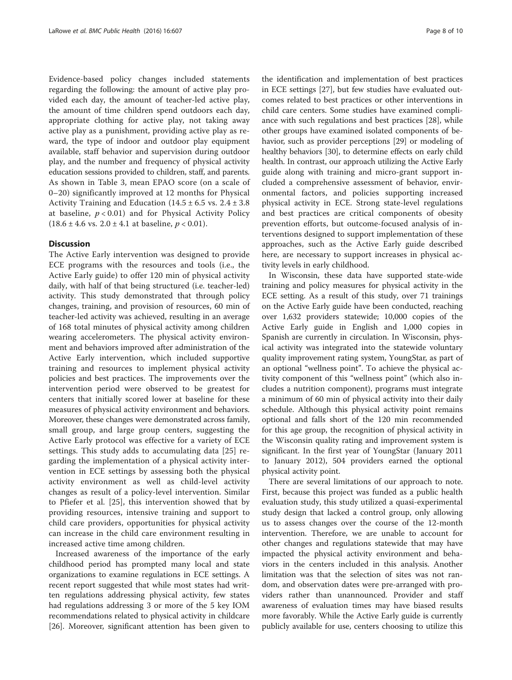Evidence-based policy changes included statements regarding the following: the amount of active play provided each day, the amount of teacher-led active play, the amount of time children spend outdoors each day, appropriate clothing for active play, not taking away active play as a punishment, providing active play as reward, the type of indoor and outdoor play equipment available, staff behavior and supervision during outdoor play, and the number and frequency of physical activity education sessions provided to children, staff, and parents. As shown in Table [3](#page-5-0), mean EPAO score (on a scale of 0–20) significantly improved at 12 months for Physical Activity Training and Education  $(14.5 \pm 6.5 \text{ vs. } 2.4 \pm 3.8)$ at baseline,  $p < 0.01$ ) and for Physical Activity Policy  $(18.6 \pm 4.6 \text{ vs. } 2.0 \pm 4.1 \text{ at baseline, } p < 0.01).$ 

# **Discussion**

The Active Early intervention was designed to provide ECE programs with the resources and tools (i.e., the Active Early guide) to offer 120 min of physical activity daily, with half of that being structured (i.e. teacher-led) activity. This study demonstrated that through policy changes, training, and provision of resources, 60 min of teacher-led activity was achieved, resulting in an average of 168 total minutes of physical activity among children wearing accelerometers. The physical activity environment and behaviors improved after administration of the Active Early intervention, which included supportive training and resources to implement physical activity policies and best practices. The improvements over the intervention period were observed to be greatest for centers that initially scored lower at baseline for these measures of physical activity environment and behaviors. Moreover, these changes were demonstrated across family, small group, and large group centers, suggesting the Active Early protocol was effective for a variety of ECE settings. This study adds to accumulating data [[25\]](#page-9-0) regarding the implementation of a physical activity intervention in ECE settings by assessing both the physical activity environment as well as child-level activity changes as result of a policy-level intervention. Similar to Pfiefer et al. [[25\]](#page-9-0), this intervention showed that by providing resources, intensive training and support to child care providers, opportunities for physical activity can increase in the child care environment resulting in increased active time among children.

Increased awareness of the importance of the early childhood period has prompted many local and state organizations to examine regulations in ECE settings. A recent report suggested that while most states had written regulations addressing physical activity, few states had regulations addressing 3 or more of the 5 key IOM recommendations related to physical activity in childcare [[26\]](#page-9-0). Moreover, significant attention has been given to

the identification and implementation of best practices in ECE settings [\[27](#page-9-0)], but few studies have evaluated outcomes related to best practices or other interventions in child care centers. Some studies have examined compliance with such regulations and best practices [[28](#page-9-0)], while other groups have examined isolated components of behavior, such as provider perceptions [[29](#page-9-0)] or modeling of healthy behaviors [\[30\]](#page-9-0), to determine effects on early child health. In contrast, our approach utilizing the Active Early guide along with training and micro-grant support included a comprehensive assessment of behavior, environmental factors, and policies supporting increased physical activity in ECE. Strong state-level regulations and best practices are critical components of obesity prevention efforts, but outcome-focused analysis of interventions designed to support implementation of these approaches, such as the Active Early guide described here, are necessary to support increases in physical activity levels in early childhood.

In Wisconsin, these data have supported state-wide training and policy measures for physical activity in the ECE setting. As a result of this study, over 71 trainings on the Active Early guide have been conducted, reaching over 1,632 providers statewide; 10,000 copies of the Active Early guide in English and 1,000 copies in Spanish are currently in circulation. In Wisconsin, physical activity was integrated into the statewide voluntary quality improvement rating system, YoungStar, as part of an optional "wellness point". To achieve the physical activity component of this "wellness point" (which also includes a nutrition component), programs must integrate a minimum of 60 min of physical activity into their daily schedule. Although this physical activity point remains optional and falls short of the 120 min recommended for this age group, the recognition of physical activity in the Wisconsin quality rating and improvement system is significant. In the first year of YoungStar (January 2011 to January 2012), 504 providers earned the optional physical activity point.

There are several limitations of our approach to note. First, because this project was funded as a public health evaluation study, this study utilized a quasi-experimental study design that lacked a control group, only allowing us to assess changes over the course of the 12-month intervention. Therefore, we are unable to account for other changes and regulations statewide that may have impacted the physical activity environment and behaviors in the centers included in this analysis. Another limitation was that the selection of sites was not random, and observation dates were pre-arranged with providers rather than unannounced. Provider and staff awareness of evaluation times may have biased results more favorably. While the Active Early guide is currently publicly available for use, centers choosing to utilize this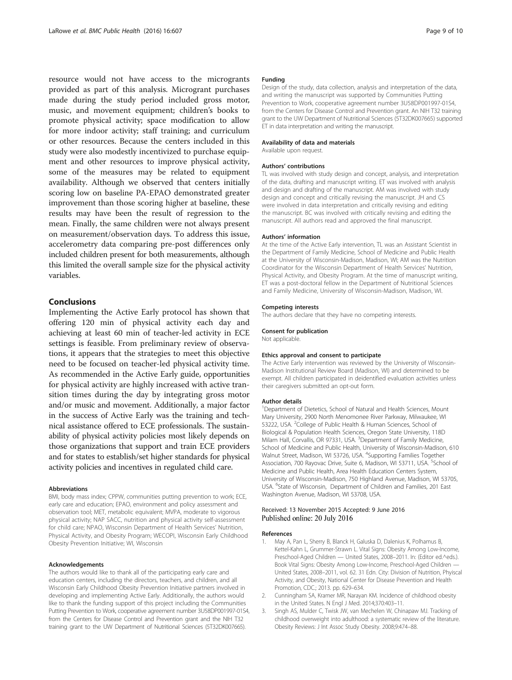<span id="page-8-0"></span>resource would not have access to the microgrants provided as part of this analysis. Microgrant purchases made during the study period included gross motor, music, and movement equipment; children's books to promote physical activity; space modification to allow for more indoor activity; staff training; and curriculum or other resources. Because the centers included in this study were also modestly incentivized to purchase equipment and other resources to improve physical activity, some of the measures may be related to equipment availability. Although we observed that centers initially scoring low on baseline PA-EPAO demonstrated greater improvement than those scoring higher at baseline, these results may have been the result of regression to the mean. Finally, the same children were not always present on measurement/observation days. To address this issue, accelerometry data comparing pre-post differences only included children present for both measurements, although this limited the overall sample size for the physical activity variables.

# Conclusions

Implementing the Active Early protocol has shown that offering 120 min of physical activity each day and achieving at least 60 min of teacher-led activity in ECE settings is feasible. From preliminary review of observations, it appears that the strategies to meet this objective need to be focused on teacher-led physical activity time. As recommended in the Active Early guide, opportunities for physical activity are highly increased with active transition times during the day by integrating gross motor and/or music and movement. Additionally, a major factor in the success of Active Early was the training and technical assistance offered to ECE professionals. The sustainability of physical activity policies most likely depends on those organizations that support and train ECE providers and for states to establish/set higher standards for physical activity policies and incentives in regulated child care.

#### Abbreviations

BMI, body mass index; CPPW, communities putting prevention to work; ECE, early care and education; EPAO, environment and policy assessment and observation tool; MET, metabolic equivalent; MVPA, moderate to vigorous physical activity; NAP SACC, nutrition and physical activity self-assessment for child care; NPAO, Wisconsin Department of Health Services' Nutrition, Physical Activity, and Obesity Program; WECOPI, Wisconsin Early Childhood Obesity Prevention Initiative; WI, Wisconsin

#### Acknowledgements

The authors would like to thank all of the participating early care and education centers, including the directors, teachers, and children, and all Wisconsin Early Childhood Obesity Prevention Initiative partners involved in developing and implementing Active Early. Additionally, the authors would like to thank the funding support of this project including the Communities Putting Prevention to Work, cooperative agreement number 3U58DP001997-01S4, from the Centers for Disease Control and Prevention grant and the NIH T32 training grant to the UW Department of Nutritional Sciences (5T32DK007665).

#### Funding

Design of the study, data collection, analysis and interpretation of the data, and writing the manuscript was supported by Communities Putting Prevention to Work, cooperative agreement number 3U58DP001997-01S4, from the Centers for Disease Control and Prevention grant. An NIH T32 training grant to the UW Department of Nutritional Sciences (5T32DK007665) supported ET in data interpretation and writing the manuscript.

#### Availability of data and materials

Available upon request.

#### Authors' contributions

TL was involved with study design and concept, analysis, and interpretation of the data, drafting and manuscript writing. ET was involved with analysis and design and drafting of the manuscript. AM was involved with study design and concept and critically revising the manuscript. JH and CS were involved in data interpretation and critically revising and editing the manuscript. BC was involved with critically revising and editing the manuscript. All authors read and approved the final manuscript.

#### Authors' information

At the time of the Active Early intervention, TL was an Assistant Scientist in the Department of Family Medicine, School of Medicine and Public Health at the University of Wisconsin-Madison, Madison, WI; AM was the Nutrition Coordinator for the Wisconsin Department of Health Services' Nutrition, Physical Activity, and Obesity Program. At the time of manuscript writing, ET was a post-doctoral fellow in the Department of Nutritional Sciences and Family Medicine, University of Wisconsin-Madison, Madison, WI.

#### Competing interests

The authors declare that they have no competing interests.

#### Consent for publication

Not applicable.

#### Ethics approval and consent to participate

The Active Early intervention was reviewed by the University of Wisconsin-Madison Institutional Review Board (Madison, WI) and determined to be exempt. All children participated in deidentified evaluation activities unless their caregivers submitted an opt-out form.

#### Author details

<sup>1</sup>Department of Dietetics, School of Natural and Health Sciences, Mount Mary University, 2900 North Menomonee River Parkway, Milwaukee, WI 53222, USA. <sup>2</sup>College of Public Health & Human Sciences, School of Biological & Population Health Sciences, Oregon State University, 118D Milam Hall, Corvallis, OR 97331, USA. <sup>3</sup>Department of Family Medicine, School of Medicine and Public Health, University of Wisconsin-Madison, 610 Walnut Street, Madison, WI 53726, USA. <sup>4</sup>Supporting Families Together Association, 700 Rayovac Drive, Suite 6, Madison, WI 53711, USA. <sup>5</sup>School of Medicine and Public Health, Area Health Education Centers System, University of Wisconsin-Madison, 750 Highland Avenue, Madison, WI 53705, USA. <sup>6</sup>State of Wisconsin, Department of Children and Families, 201 East Washington Avenue, Madison, WI 53708, USA.

# Received: 13 November 2015 Accepted: 9 June 2016 Published online: 20 July 2016

#### References

- 1. May A, Pan L, Sherry B, Blanck H, Galuska D, Dalenius K, Polhamus B, Kettel-Kahn L, Grummer-Strawn L. Vital Signs: Obesity Among Low-Income, Preschool-Aged Children — United States, 2008-2011. In: (Editor ed.^eds.). Book Vital Signs: Obesity Among Low-Income, Preschool-Aged Children — United States, 2008–2011, vol. 62. 31 Edn. City: Division of Nutrition, Phyiscal Activity, and Obesity, National Center for Disease Prevention and Health Promotion, CDC.; 2013. pp. 629–634.
- 2. Cunningham SA, Kramer MR, Narayan KM. Incidence of childhood obesity in the United States. N Engl J Med. 2014;370:403–11.
- 3. Singh AS, Mulder C, Twisk JW, van Mechelen W, Chinapaw MJ. Tracking of childhood overweight into adulthood: a systematic review of the literature. Obesity Reviews: J Int Assoc Study Obesity. 2008;9:474–88.